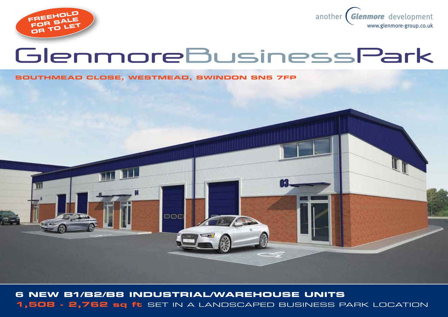



# GlenmoreBusinessPark

#### **SOUTHMEAD CLOSE, Westmead, swindon SN5 7FP**



**6 New B1/B2/B8 industrial/warehouse UNITS 1,508 - 2,762 sq ft** SET IN A LANDSCAPED BUSINESS PARK LOCATION